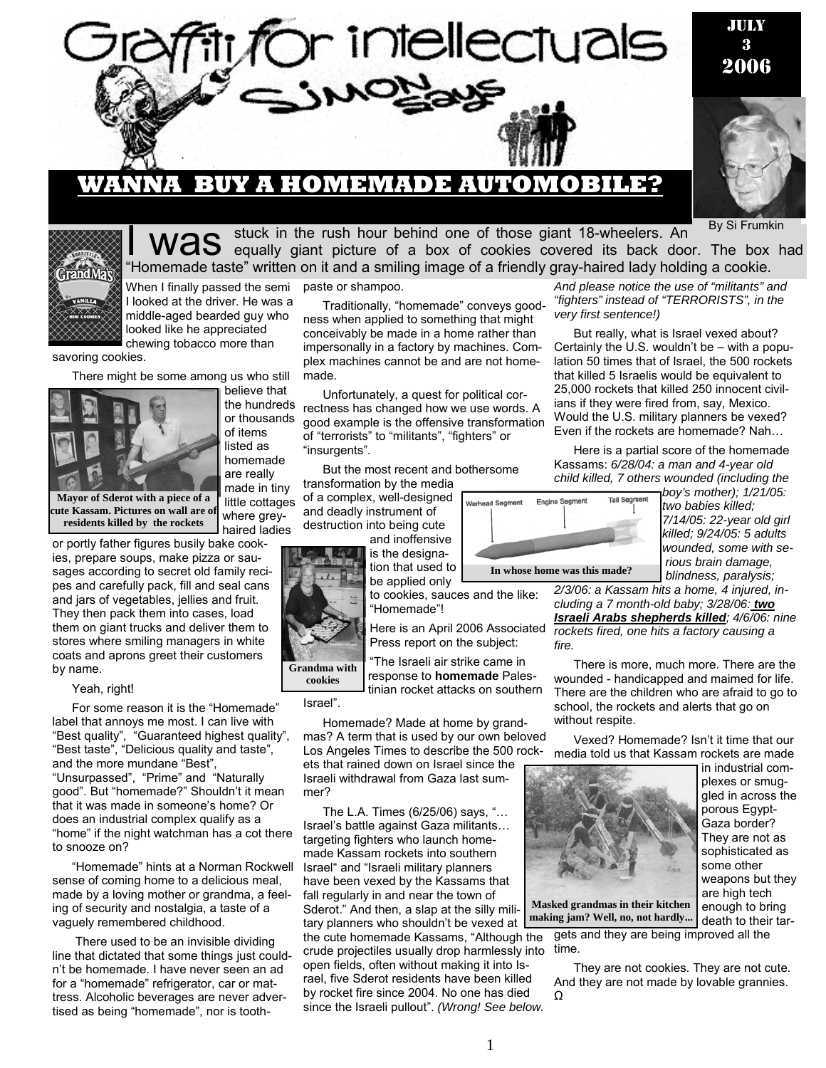

By Si Frumkin

**WAS** stuck in the rush hour behind one of those giant 18-wheelers. An By Si Frumkin equally giant picture of a box of cookies covered its back door. The box had "Homemade taste" written on it and a smiling image of a friendly gray-haired lady holding a cookie.

When I finally passed the semi I looked at the driver. He was a middle-aged bearded guy who looked like he appreciated chewing tobacco more than

haired ladies

savoring cookies.

There might be some among us who still



where grey-**Mayor of Sderot with a piece of a cute Kassam. Pictures on wall are of residents killed by the rockets** 

or portly father figures busily bake cookies, prepare soups, make pizza or sausages according to secret old family recipes and carefully pack, fill and seal cans and jars of vegetables, jellies and fruit. They then pack them into cases, load them on giant trucks and deliver them to stores where smiling managers in white coats and aprons greet their customers by name.

#### Yeah, right!

For some reason it is the "Homemade" label that annoys me most. I can live with "Best quality", "Guaranteed highest quality", "Best taste", "Delicious quality and taste", and the more mundane "Best", "Unsurpassed", "Prime" and "Naturally good". But "homemade?" Shouldn't it mean that it was made in someone's home? Or does an industrial complex qualify as a "home" if the night watchman has a cot there to snooze on?

"Homemade" hints at a Norman Rockwell sense of coming home to a delicious meal, made by a loving mother or grandma, a feeling of security and nostalgia, a taste of a vaguely remembered childhood.

 There used to be an invisible dividing line that dictated that some things just couldn't be homemade. I have never seen an ad for a "homemade" refrigerator, car or mattress. Alcoholic beverages are never advertised as being "homemade", nor is tooth-

paste or shampoo.

Traditionally, "homemade" conveys goodness when applied to something that might conceivably be made in a home rather than impersonally in a factory by machines. Complex machines cannot be and are not homemade.

Unfortunately, a quest for political correctness has changed how we use words. A good example is the offensive transformation of "terrorists" to "militants", "fighters" or "insurgents".

But the most recent and bothersome transformation by the media

of a complex, well-designed and deadly instrument of destruction into being cute and inoffensive

is the designation that used to be applied only to cookies, sauces and the like: "Homemade"! Here is an April 2006 Associated Press report on the subject:

The Israeli air strike came in response to **homemade** Palestinian rocket attacks on southern **Grandma with cookies** 

Israel".

Homemade? Made at home by grandmas? A term that is used by our own beloved Los Angeles Times to describe the 500 rockets that rained down on Israel since the Israeli withdrawal from Gaza last summer?

The L.A. Times (6/25/06) says, "… Israel's battle against Gaza militants… targeting fighters who launch homemade Kassam rockets into southern Israel" and "Israeli military planners have been vexed by the Kassams that fall regularly in and near the town of Sderot." And then, a slap at the silly military planners who shouldn't be vexed at the cute homemade Kassams, "Although the crude projectiles usually drop harmlessly into time. open fields, often without making it into Israel, five Sderot residents have been killed by rocket fire since 2004. No one has died since the Israeli pullout". *(Wrong! See below.*  **making jam? Well, no, not hardly...** 

*And please notice the use of "militants" and "fighters" instead of "TERRORISTS", in the very first sentence!)* 

But really, what is Israel vexed about? Certainly the U.S. wouldn't be – with a population 50 times that of Israel, the 500 rockets that killed 5 Israelis would be equivalent to 25,000 rockets that killed 250 innocent civilians if they were fired from, say, Mexico. Would the U.S. military planners be vexed? Even if the rockets are homemade? Nah…

Here is a partial score of the homemade Kassams: *6/28/04: a man and 4-year old child killed, 7 others wounded (including the* 



*boy's mother); 1/21/05: two babies killed; 7/14/05: 22-year old girl killed; 9/24/05: 5 adults wounded, some with serious brain damage, blindness, paralysis;* 

*2/3/06: a Kassam hits a home, 4 injured, including a 7 month-old baby; 3/28/06: two Israeli Arabs shepherds killed; 4/6/06: nine* 

*rockets fired, one hits a factory causing a fire.* 

There is more, much more. There are the wounded - handicapped and maimed for life. There are the children who are afraid to go to school, the rockets and alerts that go on without respite.

Vexed? Homemade? Isn't it time that our media told us that Kassam rockets are made



in industrial complexes or smuggled in across the porous Egypt-Gaza border? They are not as sophisticated as some other weapons but they are high tech enough to bring death to their tar-

gets and they are being improved all the

They are not cookies. They are not cute. And they are not made by lovable grannies. Ω



1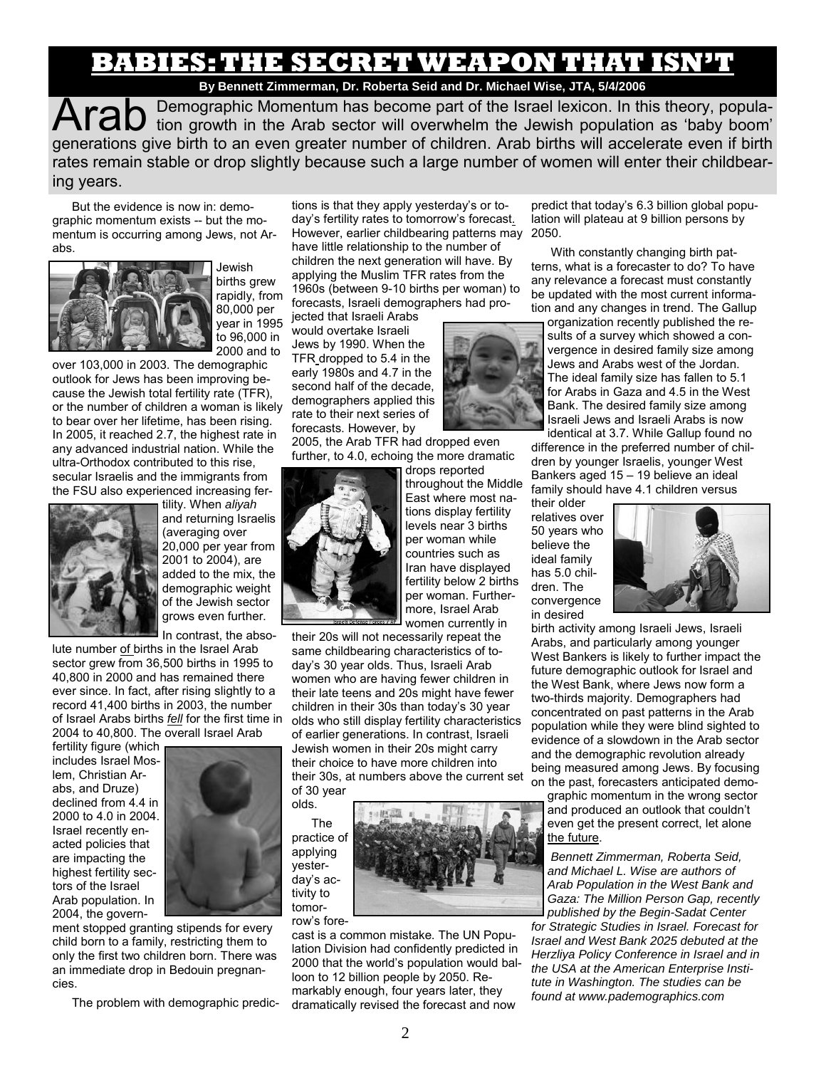# **BABIES: THE SECRET WEAPON THAT ISN'T**

**By Bennett Zimmerman, Dr. Roberta Seid and Dr. Michael Wise, JTA, 5/4/2006**

Arab Demographic Momentum has become part of the Israel lexicon. In this theory, popula-<br>Arab tion growth in the Arab sector will overwhelm the Jewish population as 'baby boom' generations give birth to an even greater number of children. Arab births will accelerate even if birth rates remain stable or drop slightly because such a large number of women will enter their childbearing years.

But the evidence is now in: demographic momentum exists -- but the momentum is occurring among Jews, not Arabs.



Jewish births grew rapidly, from 80,000 per year in 1995 to 96,000 in 2000 and to

over 103,000 in 2003. The demographic outlook for Jews has been improving because the Jewish total fertility rate (TFR), or the number of children a woman is likely to bear over her lifetime, has been rising. In 2005, it reached 2.7, the highest rate in any advanced industrial nation. While the ultra-Orthodox contributed to this rise, secular Israelis and the immigrants from the FSU also experienced increasing fer-



tility. When *aliyah* and returning Israelis (averaging over 20,000 per year from 2001 to 2004), are added to the mix, the demographic weight of the Jewish sector grows even further.

In contrast, the abso-

lute number of births in the Israel Arab sector grew from 36,500 births in 1995 to 40,800 in 2000 and has remained there ever since. In fact, after rising slightly to a record 41,400 births in 2003, the number of Israel Arabs births *fell* for the first time in 2004 to 40,800. The overall Israel Arab

fertility figure (which includes Israel Moslem, Christian Arabs, and Druze) declined from 4.4 in 2000 to 4.0 in 2004. Israel recently enacted policies that are impacting the highest fertility sectors of the Israel Arab population. In 2004, the govern-



ment stopped granting stipends for every child born to a family, restricting them to only the first two children born. There was an immediate drop in Bedouin pregnancies.

The problem with demographic predic-

tions is that they apply yesterday's or today's fertility rates to tomorrow's forecast. However, earlier childbearing patterns may 2050. have little relationship to the number of children the next generation will have. By applying the Muslim TFR rates from the 1960s (between 9-10 births per woman) to forecasts, Israeli demographers had pro-

jected that Israeli Arabs would overtake Israeli Jews by 1990. When the TFR dropped to 5.4 in the early 1980s and 4.7 in the second half of the decade, demographers applied this rate to their next series of forecasts. However, by

2005, the Arab TFR had dropped even further, to 4.0, echoing the more dramatic



throughout the Middle East where most nations display fertility levels near 3 births per woman while countries such as Iran have displayed fertility below 2 births per woman. Furthermore, Israel Arab women currently in

drops reported

their 20s will not necessarily repeat the same childbearing characteristics of today's 30 year olds. Thus, Israeli Arab women who are having fewer children in their late teens and 20s might have fewer children in their 30s than today's 30 year olds who still display fertility characteristics of earlier generations. In contrast, Israeli Jewish women in their 20s might carry their choice to have more children into their 30s, at numbers above the current set of 30 year

olds. The practice of applying yesterday's activity to tomor-



cast is a common mistake. The UN Population Division had confidently predicted in 2000 that the world's population would balloon to 12 billion people by 2050. Remarkably enough, four years later, they dramatically revised the forecast and now

predict that today's 6.3 billion global population will plateau at 9 billion persons by

With constantly changing birth patterns, what is a forecaster to do? To have any relevance a forecast must constantly be updated with the most current information and any changes in trend. The Gallup

organization recently published the results of a survey which showed a convergence in desired family size among Jews and Arabs west of the Jordan. The ideal family size has fallen to 5.1 for Arabs in Gaza and 4.5 in the West Bank. The desired family size among Israeli Jews and Israeli Arabs is now

identical at 3.7. While Gallup found no difference in the preferred number of children by younger Israelis, younger West Bankers aged 15 – 19 believe an ideal family should have 4.1 children versus

their older relatives over 50 years who believe the ideal family has 5.0 children. The convergence in desired



birth activity among Israeli Jews, Israeli Arabs, and particularly among younger West Bankers is likely to further impact the future demographic outlook for Israel and the West Bank, where Jews now form a two-thirds majority. Demographers had concentrated on past patterns in the Arab population while they were blind sighted to evidence of a slowdown in the Arab sector and the demographic revolution already being measured among Jews. By focusing on the past, forecasters anticipated demo-

graphic momentum in the wrong sector and produced an outlook that couldn't even get the present correct, let alone the future.

*Bennett Zimmerman, Roberta Seid, and Michael L. Wise are authors of Arab Population in the West Bank and Gaza: The Million Person Gap, recently published by the Begin-Sadat Center* 

*for Strategic Studies in Israel. Forecast for Israel and West Bank 2025 debuted at the Herzliya Policy Conference in Israel and in the USA at the American Enterprise Institute in Washington. The studies can be found at www.pademographics.com*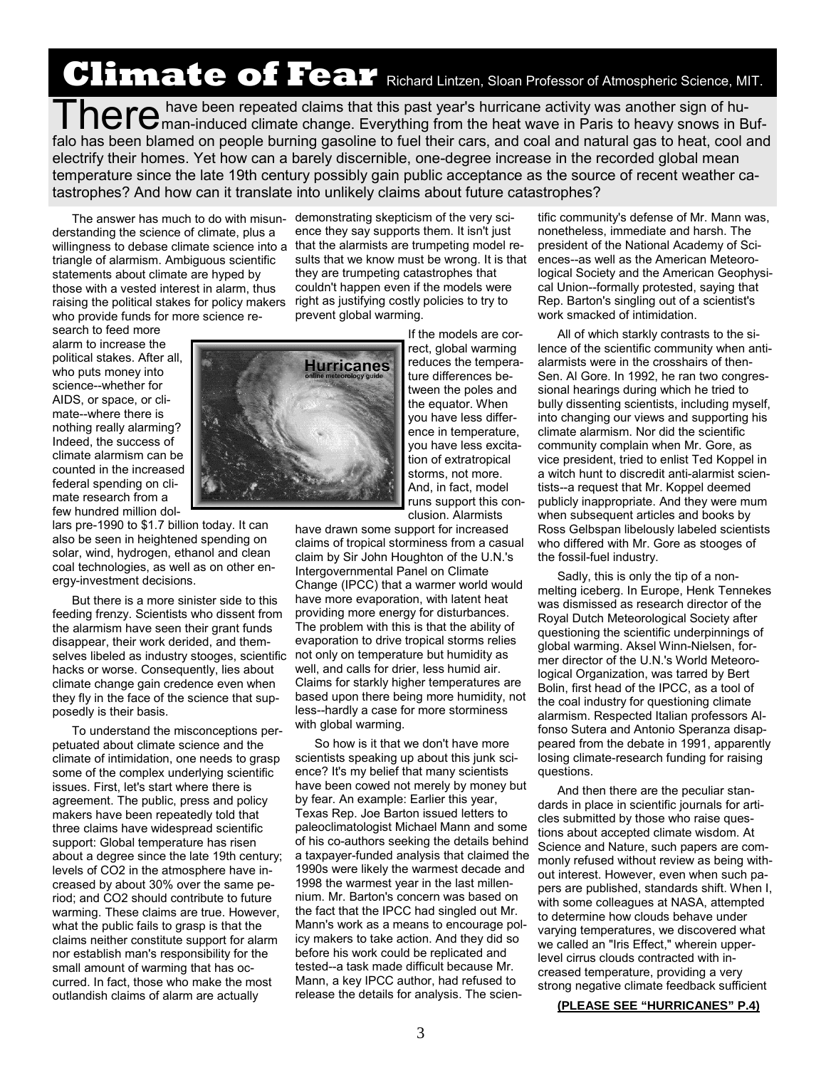Climate of Fear Richard Lintzen, Sloan Professor of Atmospheric Science, MIT. There have been repeated claims that this past year's hurricane activity was another sign of hu-<br>There man-induced climate change. Everything from the heat wave in Paris to heavy snows in Buffalo has been blamed on people burning gasoline to fuel their cars, and coal and natural gas to heat, cool and electrify their homes. Yet how can a barely discernible, one-degree increase in the recorded global mean

temperature since the late 19th century possibly gain public acceptance as the source of recent weather catastrophes? And how can it translate into unlikely claims about future catastrophes?

The answer has much to do with misun-demonstrating skepticism of the very sciderstanding the science of climate, plus a willingness to debase climate science into a that the alarmists are trumpeting model retriangle of alarmism. Ambiguous scientific statements about climate are hyped by those with a vested interest in alarm, thus raising the political stakes for policy makers who provide funds for more science re-

search to feed more alarm to increase the political stakes. After all, who puts money into science--whether for AIDS, or space, or climate--where there is nothing really alarming? Indeed, the success of climate alarmism can be counted in the increased federal spending on climate research from a few hundred million dol-

lars pre-1990 to \$1.7 billion today. It can also be seen in heightened spending on solar, wind, hydrogen, ethanol and clean coal technologies, as well as on other energy-investment decisions.

But there is a more sinister side to this feeding frenzy. Scientists who dissent from the alarmism have seen their grant funds disappear, their work derided, and themselves libeled as industry stooges, scientific hacks or worse. Consequently, lies about climate change gain credence even when they fly in the face of the science that supposedly is their basis.

To understand the misconceptions perpetuated about climate science and the climate of intimidation, one needs to grasp some of the complex underlying scientific issues. First, let's start where there is agreement. The public, press and policy makers have been repeatedly told that three claims have widespread scientific support: Global temperature has risen about a degree since the late 19th century; levels of CO2 in the atmosphere have increased by about 30% over the same period; and CO2 should contribute to future warming. These claims are true. However, what the public fails to grasp is that the claims neither constitute support for alarm nor establish man's responsibility for the small amount of warming that has occurred. In fact, those who make the most outlandish claims of alarm are actually

ence they say supports them. It isn't just sults that we know must be wrong. It is that they are trumpeting catastrophes that couldn't happen even if the models were right as justifying costly policies to try to prevent global warming.

> If the models are correct, global warming reduces the temperature differences between the poles and the equator. When you have less difference in temperature, you have less excitation of extratropical storms, not more. And, in fact, model runs support this conclusion. Alarmists

have drawn some support for increased claims of tropical storminess from a casual claim by Sir John Houghton of the U.N.'s Intergovernmental Panel on Climate Change (IPCC) that a warmer world would have more evaporation, with latent heat providing more energy for disturbances. The problem with this is that the ability of evaporation to drive tropical storms relies not only on temperature but humidity as well, and calls for drier, less humid air. Claims for starkly higher temperatures are based upon there being more humidity, not less--hardly a case for more storminess with global warming.

So how is it that we don't have more scientists speaking up about this junk science? It's my belief that many scientists have been cowed not merely by money but by fear. An example: Earlier this year, Texas Rep. Joe Barton issued letters to paleoclimatologist Michael Mann and some of his co-authors seeking the details behind a taxpayer-funded analysis that claimed the 1990s were likely the warmest decade and 1998 the warmest year in the last millennium. Mr. Barton's concern was based on the fact that the IPCC had singled out Mr. Mann's work as a means to encourage policy makers to take action. And they did so before his work could be replicated and tested--a task made difficult because Mr. Mann, a key IPCC author, had refused to release the details for analysis. The scien-

tific community's defense of Mr. Mann was, nonetheless, immediate and harsh. The president of the National Academy of Sciences--as well as the American Meteorological Society and the American Geophysical Union--formally protested, saying that Rep. Barton's singling out of a scientist's work smacked of intimidation.

All of which starkly contrasts to the silence of the scientific community when antialarmists were in the crosshairs of then-Sen. Al Gore. In 1992, he ran two congressional hearings during which he tried to bully dissenting scientists, including myself, into changing our views and supporting his climate alarmism. Nor did the scientific community complain when Mr. Gore, as vice president, tried to enlist Ted Koppel in a witch hunt to discredit anti-alarmist scientists--a request that Mr. Koppel deemed publicly inappropriate. And they were mum when subsequent articles and books by Ross Gelbspan libelously labeled scientists who differed with Mr. Gore as stooges of the fossil-fuel industry.

Sadly, this is only the tip of a nonmelting iceberg. In Europe, Henk Tennekes was dismissed as research director of the Royal Dutch Meteorological Society after questioning the scientific underpinnings of global warming. Aksel Winn-Nielsen, former director of the U.N.'s World Meteorological Organization, was tarred by Bert Bolin, first head of the IPCC, as a tool of the coal industry for questioning climate alarmism. Respected Italian professors Alfonso Sutera and Antonio Speranza disappeared from the debate in 1991, apparently losing climate-research funding for raising questions.

And then there are the peculiar standards in place in scientific journals for articles submitted by those who raise questions about accepted climate wisdom. At Science and Nature, such papers are commonly refused without review as being without interest. However, even when such papers are published, standards shift. When I, with some colleagues at NASA, attempted to determine how clouds behave under varying temperatures, we discovered what we called an "Iris Effect," wherein upperlevel cirrus clouds contracted with increased temperature, providing a very strong negative climate feedback sufficient

#### **(PLEASE SEE "HURRICANES" P.4)**

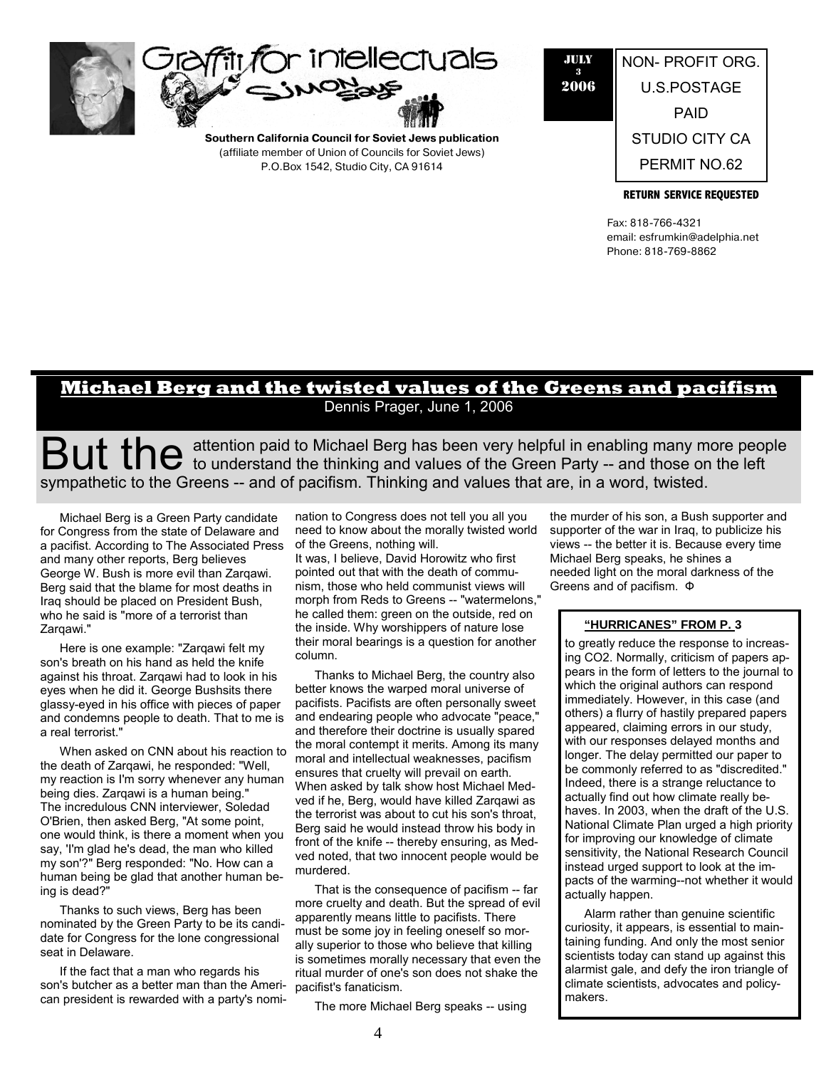

**Southern California Council for Soviet Jews publication**  (affiliate member of Union of Councils for Soviet Jews) P.O.Box 1542, Studio City, CA 91614

NON- PROFIT ORG. U.S.POSTAGE PAID STUDIO CITY CA PERMIT NO.62

JULY 3 2006

#### **RETURN SERVICE REQUESTED**

Fax: 818-766-4321 email: esfrumkin@adelphia.net Phone: 818-769-8862

## **Michael Berg and the twisted values of the Greens and pacifism** Dennis Prager, June 1, 2006

But the attention paid to Michael Berg has been very helpful in enabling many more people<br> **But the Green Party --** and those on the left sympathetic to the Greens -- and of pacifism. Thinking and values that are, in a word, twisted.

Michael Berg is a Green Party candidate for Congress from the state of Delaware and a pacifist. According to The Associated Press and many other reports, Berg believes George W. Bush is more evil than Zarqawi. Berg said that the blame for most deaths in Iraq should be placed on President Bush, who he said is "more of a terrorist than Zarqawi."

Here is one example: "Zarqawi felt my son's breath on his hand as held the knife against his throat. Zarqawi had to look in his eyes when he did it. George Bushsits there glassy-eyed in his office with pieces of paper and condemns people to death. That to me is a real terrorist."

When asked on CNN about his reaction to the death of Zarqawi, he responded: "Well, my reaction is I'm sorry whenever any human being dies. Zarqawi is a human being." The incredulous CNN interviewer, Soledad O'Brien, then asked Berg, "At some point, one would think, is there a moment when you say, 'I'm glad he's dead, the man who killed my son'?" Berg responded: "No. How can a human being be glad that another human being is dead?"

Thanks to such views, Berg has been nominated by the Green Party to be its candidate for Congress for the lone congressional seat in Delaware.

If the fact that a man who regards his son's butcher as a better man than the American president is rewarded with a party's nomi-

nation to Congress does not tell you all you need to know about the morally twisted world of the Greens, nothing will.

It was, I believe, David Horowitz who first pointed out that with the death of communism, those who held communist views will morph from Reds to Greens -- "watermelons," he called them: green on the outside, red on the inside. Why worshippers of nature lose their moral bearings is a question for another column.

Thanks to Michael Berg, the country also better knows the warped moral universe of pacifists. Pacifists are often personally sweet and endearing people who advocate "peace," and therefore their doctrine is usually spared the moral contempt it merits. Among its many moral and intellectual weaknesses, pacifism ensures that cruelty will prevail on earth. When asked by talk show host Michael Medved if he, Berg, would have killed Zarqawi as the terrorist was about to cut his son's throat, Berg said he would instead throw his body in front of the knife -- thereby ensuring, as Medved noted, that two innocent people would be murdered.

That is the consequence of pacifism -- far more cruelty and death. But the spread of evil apparently means little to pacifists. There must be some joy in feeling oneself so morally superior to those who believe that killing is sometimes morally necessary that even the ritual murder of one's son does not shake the pacifist's fanaticism.

The more Michael Berg speaks -- using

the murder of his son, a Bush supporter and supporter of the war in Iraq, to publicize his views -- the better it is. Because every time Michael Berg speaks, he shines a needed light on the moral darkness of the Greens and of pacifism. Ф

### **"HURRICANES" FROM P. 3**

to greatly reduce the response to increasing CO2. Normally, criticism of papers appears in the form of letters to the journal to which the original authors can respond immediately. However, in this case (and others) a flurry of hastily prepared papers appeared, claiming errors in our study, with our responses delayed months and longer. The delay permitted our paper to be commonly referred to as "discredited." Indeed, there is a strange reluctance to actually find out how climate really behaves. In 2003, when the draft of the U.S. National Climate Plan urged a high priority for improving our knowledge of climate sensitivity, the National Research Council instead urged support to look at the impacts of the warming--not whether it would actually happen.

Alarm rather than genuine scientific curiosity, it appears, is essential to maintaining funding. And only the most senior scientists today can stand up against this alarmist gale, and defy the iron triangle of climate scientists, advocates and policymakers.